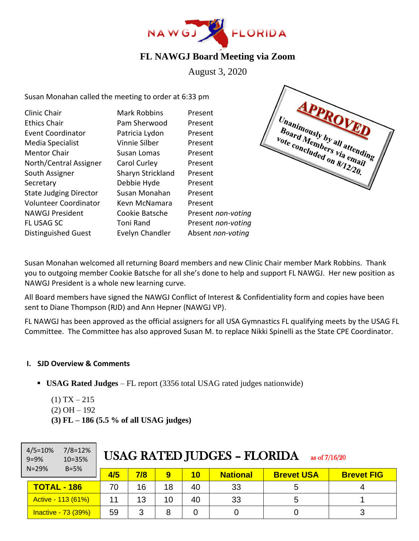

# **FL NAWGJ Board Meeting via Zoom**

August 3, 2020

Susan Monahan called the meeting to order at 6:33 pm

| Clinic Chair                  | <b>Mark Robbins</b> | Present            |
|-------------------------------|---------------------|--------------------|
| <b>Ethics Chair</b>           | Pam Sherwood        | Present            |
| <b>Event Coordinator</b>      | Patricia Lydon      | Present            |
| Media Specialist              | Vinnie Silber       | Present            |
| <b>Mentor Chair</b>           | Susan Lomas         | Present            |
| North/Central Assigner        | Carol Curley        | Present            |
| South Assigner                | Sharyn Strickland   | Present            |
| Secretary                     | Debbie Hyde         | Present            |
| <b>State Judging Director</b> | Susan Monahan       | Present            |
| <b>Volunteer Coordinator</b>  | Kevn McNamara       | Present            |
| <b>NAWGJ President</b>        | Cookie Batsche      | Present non-voting |
| <b>FL USAG SC</b>             | Toni Rand           | Present non-voting |
| <b>Distinguished Guest</b>    | Evelyn Chandler     | Absent non-voting  |
|                               |                     |                    |



Susan Monahan welcomed all returning Board members and new Clinic Chair member Mark Robbins. Thank you to outgoing member Cookie Batsche for all she's done to help and support FL NAWGJ. Her new position as NAWGJ President is a whole new learning curve.

All Board members have signed the NAWGJ Conflict of Interest & Confidentiality form and copies have been sent to Diane Thompson (RJD) and Ann Hepner (NAWGJ VP).

FL NAWGJ has been approved as the official assigners for all USA Gymnastics FL qualifying meets by the USAG FL Committee. The Committee has also approved Susan M. to replace Nikki Spinelli as the State CPE Coordinator.

#### **I. SJD Overview & Comments**

- **USAG Rated Judges** FL report (3356 total USAG rated judges nationwide)
	- $(1)$  TX 215
	- $(2)$  OH  $-192$
	- **(3) FL – 186 (5.5 % of all USAG judges)**

| $4/5 = 10%$<br>$7/8 = 12%$<br>$9 = 9%$<br>10=35% | <b>USAG RATED JUDGES - FLORIDA</b><br>as of $7/16/20$ |     |     |    |    |                 |                   |                   |
|--------------------------------------------------|-------------------------------------------------------|-----|-----|----|----|-----------------|-------------------|-------------------|
| $N = 29%$                                        | $B=5%$                                                | 4/5 | 7/8 | 9  | 10 | <b>National</b> | <b>Brevet USA</b> | <b>Brevet FIG</b> |
| <b>TOTAL - 186</b>                               |                                                       | 70  | 16  | 18 | 40 | 33              | 5                 |                   |
|                                                  | Active - 113 (61%)                                    | 11  | 13  | 10 | 40 | 33              | 5                 |                   |
|                                                  | Inactive - 73 (39%)                                   | 59  | 3   | 8  |    |                 |                   |                   |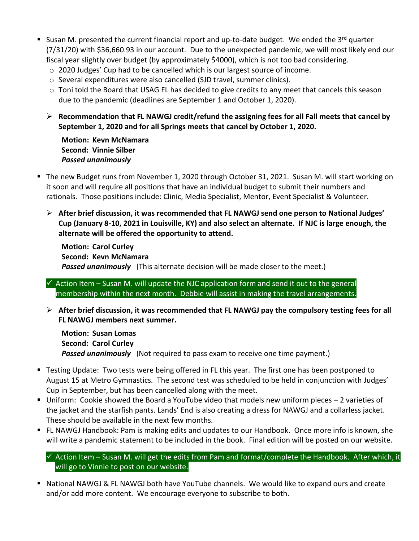- Susan M. presented the current financial report and up-to-date budget. We ended the 3<sup>rd</sup> quarter (7/31/20) with \$36,660.93 in our account. Due to the unexpected pandemic, we will most likely end our fiscal year slightly over budget (by approximately \$4000), which is not too bad considering.
	- $\circ$  2020 Judges' Cup had to be cancelled which is our largest source of income.
	- o Several expenditures were also cancelled (SJD travel, summer clinics).
	- o Toni told the Board that USAG FL has decided to give credits to any meet that cancels this season due to the pandemic (deadlines are September 1 and October 1, 2020).
	- ➢ **Recommendation that FL NAWGJ credit/refund the assigning fees for all Fall meets that cancel by September 1, 2020 and for all Springs meets that cancel by October 1, 2020.**

**Motion: Kevn McNamara Second: Vinnie Silber** *Passed unanimously*

- The new Budget runs from November 1, 2020 through October 31, 2021. Susan M. will start working on it soon and will require all positions that have an individual budget to submit their numbers and rationals. Those positions include: Clinic, Media Specialist, Mentor, Event Specialist & Volunteer.
	- ➢ **After brief discussion, it was recommended that FL NAWGJ send one person to National Judges' Cup (January 8-10, 2021 in Louisville, KY) and also select an alternate. If NJC is large enough, the alternate will be offered the opportunity to attend.**

**Motion: Carol Curley Second: Kevn McNamara** *Passed unanimously* (This alternate decision will be made closer to the meet.)

 $\checkmark$  Action Item – Susan M. will update the NJC application form and send it out to the general membership within the next month. Debbie will assist in making the travel arrangements.

➢ **After brief discussion, it was recommended that FL NAWGJ pay the compulsory testing fees for all FL NAWGJ members next summer.** 

**Motion: Susan Lomas Second: Carol Curley** *Passed unanimously* (Not required to pass exam to receive one time payment.)

- Testing Update: Two tests were being offered in FL this year. The first one has been postponed to August 15 at Metro Gymnastics*.* The second test was scheduled to be held in conjunction with Judges' Cup in September, but has been cancelled along with the meet.
- Uniform: Cookie showed the Board a YouTube video that models new uniform pieces 2 varieties of the jacket and the starfish pants. Lands' End is also creating a dress for NAWGJ and a collarless jacket. These should be available in the next few months.
- FL NAWGJ Handbook: Pam is making edits and updates to our Handbook. Once more info is known, she will write a pandemic statement to be included in the book. Final edition will be posted on our website.

#### $\checkmark$  Action Item – Susan M. will get the edits from Pam and format/complete the Handbook. After which, it will go to Vinnie to post on our website.

■ National NAWGJ & FL NAWGJ both have YouTube channels. We would like to expand ours and create and/or add more content. We encourage everyone to subscribe to both.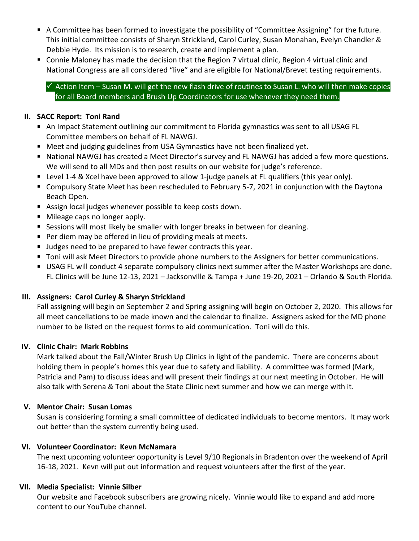- A Committee has been formed to investigate the possibility of "Committee Assigning" for the future. This initial committee consists of Sharyn Strickland, Carol Curley, Susan Monahan, Evelyn Chandler & Debbie Hyde. Its mission is to research, create and implement a plan.
- Connie Maloney has made the decision that the Region 7 virtual clinic, Region 4 virtual clinic and National Congress are all considered "live" and are eligible for National/Brevet testing requirements.

 $\checkmark$  Action Item – Susan M. will get the new flash drive of routines to Susan L. who will then make copies for all Board members and Brush Up Coordinators for use whenever they need them.

#### **II. SACC Report: Toni Rand**

- An Impact Statement outlining our commitment to Florida gymnastics was sent to all USAG FL Committee members on behalf of FL NAWGJ.
- Meet and judging guidelines from USA Gymnastics have not been finalized yet.
- National NAWGJ has created a Meet Director's survey and FL NAWGJ has added a few more questions. We will send to all MDs and then post results on our website for judge's reference.
- Level 1-4 & Xcel have been approved to allow 1-judge panels at FL qualifiers (this year only).
- Compulsory State Meet has been rescheduled to February 5-7, 2021 in conjunction with the Daytona Beach Open.
- Assign local judges whenever possible to keep costs down.
- Mileage caps no longer apply.
- **EXECT** Sessions will most likely be smaller with longer breaks in between for cleaning.
- Per diem may be offered in lieu of providing meals at meets.
- Judges need to be prepared to have fewer contracts this year.
- Toni will ask Meet Directors to provide phone numbers to the Assigners for better communications.
- USAG FL will conduct 4 separate compulsory clinics next summer after the Master Workshops are done. FL Clinics will be June 12-13, 2021 – Jacksonville & Tampa + June 19-20, 2021 – Orlando & South Florida.

# **III. Assigners: Carol Curley & Sharyn Strickland**

Fall assigning will begin on September 2 and Spring assigning will begin on October 2, 2020. This allows for all meet cancellations to be made known and the calendar to finalize. Assigners asked for the MD phone number to be listed on the request forms to aid communication. Toni will do this.

# **IV. Clinic Chair: Mark Robbins**

Mark talked about the Fall/Winter Brush Up Clinics in light of the pandemic. There are concerns about holding them in people's homes this year due to safety and liability. A committee was formed (Mark, Patricia and Pam) to discuss ideas and will present their findings at our next meeting in October. He will also talk with Serena & Toni about the State Clinic next summer and how we can merge with it.

# **V. Mentor Chair: Susan Lomas**

Susan is considering forming a small committee of dedicated individuals to become mentors. It may work out better than the system currently being used.

# **VI. Volunteer Coordinator: Kevn McNamara**

The next upcoming volunteer opportunity is Level 9/10 Regionals in Bradenton over the weekend of April 16-18, 2021. Kevn will put out information and request volunteers after the first of the year.

# **VII. Media Specialist: Vinnie Silber**

Our website and Facebook subscribers are growing nicely. Vinnie would like to expand and add more content to our YouTube channel.